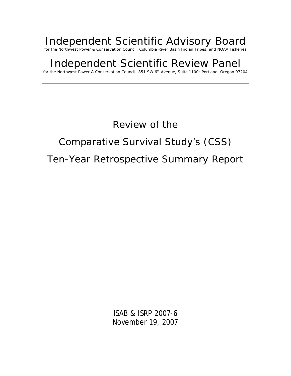# Independent Scientific Advisory Board

for the Northwest Power & Conservation Council, Columbia River Basin Indian Tribes, and NOAA Fisheries

# Independent Scientific Review Panel

for the Northwest Power & Conservation Council; 851 SW 6th Avenue, Suite 1100; Portland, Oregon 97204

# Review of the

# Comparative Survival Study's (CSS)

# Ten-Year Retrospective Summary Report

ISAB & ISRP 2007-6 November 19, 2007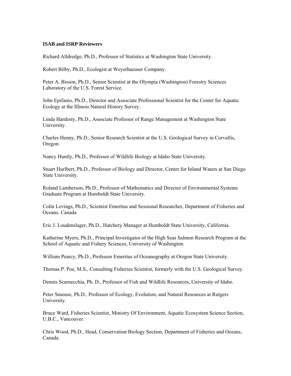#### **ISAB and ISRP Reviewers**

[Richard Alldredge,](http://www.nwcouncil.org/fw/isab/alldredge.pdf) Ph.D., Professor of Statistics at Washington State University.

[Robert Bilby](http://www.nwcouncil.org/fw/isab/bilby.pdf), Ph.D., Ecologist at Weyerhaeuser Company.

[Peter A. Bisson,](http://www.nwcouncil.org/fw/isab/bisson.pdf) Ph.D., Senior Scientist at the Olympia (Washington) Forestry Sciences Laboratory of the U.S. Forest Service.

[John Epifanio](http://www.nwcouncil.org/fw/isab/epifanio.pdf), Ph.D., Director and Associate Professional Scientist for the Center for Aquatic Ecology at the Illinois Natural History Survey.

[Linda Hardesty](http://www.nwcouncil.org/fw/isab/hardesty.pdf), Ph.D., Associate Professor of Range Management at Washington State University.

[Charles Henny,](http://www.nwcouncil.org/fw/isab/henny.pdf) Ph.D., Senior Research Scientist at the U.S. Geological Survey in Corvallis, Oregon.

Nancy Huntly, Ph.D., Professor of Wildlife Biology at Idaho State University.

[Stuart Hurlbert](http://www.nwcouncil.org/fw/isab/hurlbert.pdf), Ph.D., Professor of Biology and Director, Center for Inland Waters at San Diego State University.

[Roland Lamberson](http://www.nwcouncil.org/fw/isab/lamberson.pdf), Ph.D., Professor of Mathematics and Director of Environmental Systems Graduate Program at Humboldt State University.

[Colin Levings,](http://www.nwcouncil.org/fw/isab/levings.pdf) Ph.D., Scientist Emeritus and Sessional Researcher, Department of Fisheries and Oceans. Canada

[Eric J. Loudenslager,](http://www.nwcouncil.org/fw/isab/loudenslager.pdf) Ph.D., Hatchery Manager at Humboldt State University, California.

[Katherine Myers](http://www.nwcouncil.org/fw/isab/myers.pdf), Ph.D., Principal Investigator of the High Seas Salmon Research Program at the School of Aquatic and Fishery Sciences, University of Washington.

[William Pearcy,](http://www.nwcouncil.org/fw/isab/pearcy.pdf) Ph.D., Professor Emeritus of Oceanography at Oregon State University.

[Thomas P. Poe](http://www.nwcouncil.org/fw/isab/poe.pdf), M.S., Consulting Fisheries Scientist, formerly with the U.S. Geological Survey.

Dennis Scarnecchia, Ph. D., Professor of Fish and Wildlife Resources, University of Idaho.

[Peter Smouse](http://www.nwcouncil.org/fw/isab/smouse.pdf), Ph.D., Professor of Ecology, Evolution, and Natural Resources at Rutgers University.

[Bruce Ward](http://www.nwcouncil.org/fw/isab/ward.pdf), Fisheries Scientist, Ministry Of Environment, Aquatic Ecosystem Science Section, U.B.C., Vancouver.

Chris Wood, Ph.D., Head, Conservation Biology Section, Department of Fisheries and Oceans, Canada.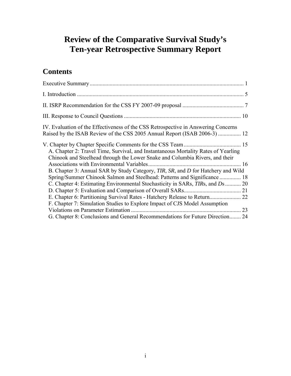# **Review of the Comparative Survival Study's Ten-year Retrospective Summary Report**

# **Contents**

| IV. Evaluation of the Effectiveness of the CSS Retrospective in Answering Concerns<br>Raised by the ISAB Review of the CSS 2005 Annual Report (ISAB 2006-3)  12    |  |
|--------------------------------------------------------------------------------------------------------------------------------------------------------------------|--|
| A. Chapter 2: Travel Time, Survival, and Instantaneous Mortality Rates of Yearling<br>Chinook and Steelhead through the Lower Snake and Columbia Rivers, and their |  |
| B. Chapter 3: Annual SAR by Study Category, TIR, SR, and D for Hatchery and Wild                                                                                   |  |
| Spring/Summer Chinook Salmon and Steelhead: Patterns and Significance  18                                                                                          |  |
| C. Chapter 4: Estimating Environmental Stochasticity in SARs, <i>TIRs</i> , and <i>Ds</i> 20                                                                       |  |
|                                                                                                                                                                    |  |
|                                                                                                                                                                    |  |
| F. Chapter 7: Simulation Studies to Explore Impact of CJS Model Assumption                                                                                         |  |
|                                                                                                                                                                    |  |
| G. Chapter 8: Conclusions and General Recommendations for Future Direction 24                                                                                      |  |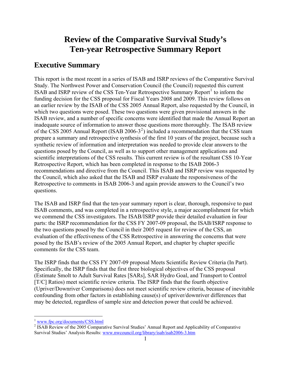# **Review of the Comparative Survival Study's Ten-year Retrospective Summary Report**

## <span id="page-3-0"></span>**Executive Summary**

This report is the most recent in a series of ISAB and ISRP reviews of the Comparative Survival Study. The Northwest Power and Conservation Council (the Council) requested this current ISAB and ISRP review of the CSS Ten-Year Retrospective Summary Report<sup>[1](#page-3-1)</sup> to inform the funding decision for the CSS proposal for Fiscal Years 2008 and 2009. This review follows on an earlier review by the ISAB of the CSS 2005 Annual Report, also requested by the Council, in which two questions were posed. These two questions were given provisional answers in the ISAB review, and a number of specific concerns were identified that made the Annual Report an inadequate source of information to answer those questions more thoroughly. The ISAB review of the CSS [2](#page-3-2)005 Annual Report (ISAB 2006-3<sup>2</sup>) included a recommendation that the CSS team prepare a summary and retrospective synthesis of the first 10 years of the project, because such a synthetic review of information and interpretation was needed to provide clear answers to the questions posed by the Council, as well as to support other management applications and scientific interpretations of the CSS results. This current review is of the resultant CSS 10-Year Retrospective Report, which has been completed in response to the ISAB 2006-3 recommendations and directive from the Council. This ISAB and ISRP review was requested by the Council, which also asked that the ISAB and ISRP evaluate the responsiveness of the Retrospective to comments in ISAB 2006-3 and again provide answers to the Council's two questions.

The ISAB and ISRP find that the ten-year summary report is clear, thorough, responsive to past ISAB comments, and was completed in a retrospective style, a major accomplishment for which we commend the CSS investigators. The ISAB/ISRP provide their detailed evaluation in four parts: the ISRP recommendation for the CSS FY 2007-09 proposal, the ISAB/ISRP response to the two questions posed by the Council in their 2005 request for review of the CSS, an evaluation of the effectiveness of the CSS Retrospective in answering the concerns that were posed by the ISAB's review of the 2005 Annual Report, and chapter by chapter specific comments for the CSS team.

The ISRP finds that the CSS FY 2007-09 proposal Meets Scientific Review Criteria (In Part). Specifically, the ISRP finds that the first three biological objectives of the CSS proposal (Estimate Smolt to Adult Survival Rates [SARs], SAR Hydro Goal, and Transport to Control [T/C] Ratios) meet scientific review criteria. The ISRP finds that the fourth objective (Upriver/Downriver Comparisons) does not meet scientific review criteria, because of inevitable confounding from other factors in establishing cause(s) of upriver/downriver differences that may be detected, regardless of sample size and detection power that could be achieved.

 $\overline{a}$ 

<span id="page-3-1"></span> $\frac{1}{2}$  www.fpc.org/documents/CSS.html

<span id="page-3-2"></span><sup>&</sup>lt;sup>2</sup> ISAB Review of the 2005 Comparative Survival Studies' Annual Report and Applicability of Comparative Survival Studies' Analysis Results: [www.nwcouncil.org/library/isab/isab2006-3.htm](http://www.nwcouncil.org/library/isab/isab2006-3.htm)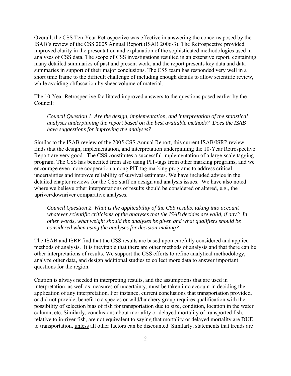Overall, the CSS Ten-Year Retrospective was effective in answering the concerns posed by the ISAB's review of the CSS 2005 Annual Report (ISAB 2006-3). The Retrospective provided improved clarity in the presentation and explanation of the sophisticated methodologies used in analyses of CSS data. The scope of CSS investigations resulted in an extensive report, containing many detailed summaries of past and present work, and the report presents key data and data summaries in support of their major conclusions. The CSS team has responded very well in a short time frame to the difficult challenge of including enough details to allow scientific review, while avoiding obfuscation by sheer volume of material.

The 10-Year Retrospective facilitated improved answers to the questions posed earlier by the Council:

*Council Question 1. Are the design, implementation, and interpretation of the statistical analyses underpinning the report based on the best available methods? Does the ISAB have suggestions for improving the analyses?* 

Similar to the ISAB review of the 2005 CSS Annual Report, this current ISAB/ISRP review finds that the design, implementation, and interpretation underpinning the 10-Year Retrospective Report are very good. The CSS constitutes a successful implementation of a large-scale tagging program. The CSS has benefited from also using PIT-tags from other marking programs, and we encourage even more cooperation among PIT-tag marking programs to address critical uncertainties and improve reliability of survival estimates. We have included advice in the detailed chapter reviews for the CSS staff on design and analysis issues. We have also noted where we believe other interpretations of results should be considered or altered, e.g., the upriver/downriver comparative analyses.

*Council Question 2. What is the applicability of the CSS results, taking into account whatever scientific criticisms of the analyses that the ISAB decides are valid, if any? In other words, what weight should the analyses be given and what qualifiers should be considered when using the analyses for decision-making?* 

The ISAB and ISRP find that the CSS results are based upon carefully considered and applied methods of analysis. It is inevitable that there are other methods of analysis and that there can be other interpretations of results. We support the CSS efforts to refine analytical methodology, analyze other data, and design additional studies to collect more data to answer important questions for the region.

Caution is always needed in interpreting results, and the assumptions that are used in interpretation, as well as measures of uncertainty, must be taken into account in deciding the application of any interpretation. For instance, current conclusions that transportation provided, or did not provide, benefit to a species or wild/hatchery group requires qualification with the possibility of selection bias of fish for transportation due to size, condition, location in the water column, etc. Similarly, conclusions about mortality or delayed mortality of transported fish, relative to in-river fish, are not equivalent to saying that mortality or delayed mortality are DUE to transportation, unless all other factors can be discounted. Similarly, statements that trends are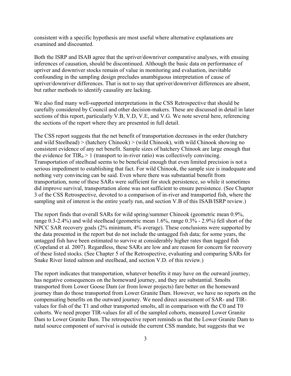consistent with a specific hypothesis are most useful where alternative explanations are examined and discounted.

Both the ISRP and ISAB agree that the upriver/downriver comparative analyses, with ensuing inferences of causation, should be discontinued. Although the basic data on performance of upriver and downriver stocks remain of value in monitoring and evaluation, inevitable confounding in the sampling design precludes unambiguous interpretation of cause of upriver/downriver differences. That is not to say that upriver/downriver differences are absent, but rather methods to identify causality are lacking.

We also find many well-supported interpretations in the CSS Retrospective that should be carefully considered by Council and other decision-makers. These are discussed in detail in later sections of this report, particularly V.B, V.D, V.E, and V.G. We note several here, referencing the sections of the report where they are presented in full detail.

The CSS report suggests that the net benefit of transportation decreases in the order (hatchery and wild Steelhead) > (hatchery Chinook) > (wild Chinook), with wild Chinook showing no consistent evidence of any net benefit. Sample sizes of hatchery Chinook are large enough that the evidence for  $TIR_0 > 1$  (transport to in-river ratio) was collectively convincing. Transportation of steelhead seems to be beneficial enough that even limited precision is not a serious impediment to establishing that fact. For wild Chinook, the sample size is inadequate and nothing very convincing can be said. Even where there was substantial benefit from transportation, none of these SARs were sufficient for stock persistence, so while it sometimes did improve survival, transportation alone was not sufficient to ensure persistence. (See Chapter 3 of the CSS Retrospective, devoted to a comparison of in-river and transported fish, where the sampling unit of interest is the entire yearly run, and section V.B of this ISAB/ISRP review.)

The report finds that overall SARs for wild spring/summer Chinook (geometric mean 0.9%, range 0.3-2.4%) and wild steelhead (geometric mean 1.6%, range 0.3% - 2.9%) fell short of the NPCC SAR recovery goals (2% minimum, 4% average). These conclusions were supported by the data presented in the report but do not include the untagged fish data; for some years, the untagged fish have been estimated to survive at considerably higher rates than tagged fish (Copeland et al. 2007). Regardless, these SARs are low and are reason for concern for recovery of these listed stocks. (See Chapter 5 of the Retrospective, evaluating and comparing SARs for Snake River listed salmon and steelhead, and section V.D. of this review.)

The report indicates that transportation, whatever benefits it may have on the outward journey, has negative consequences on the homeward journey, and they are substantial. Smolts transported from Lower Goose Dam (or from lower projects) fare better on the homeward journey than do those transported from Lower Granite Dam. However, we have no reports on the compensating benefits on the outward journey. We need direct assessment of SAR- and TIRvalues for fish of the T1 and other transported smolts, all in comparison with the C0 and T0 cohorts. We need proper TIR-values for all of the sampled cohorts, measured Lower Granite Dam to Lower Granite Dam. The retrospective report reminds us that the Lower Granite Dam to natal source component of survival is outside the current CSS mandate, but suggests that we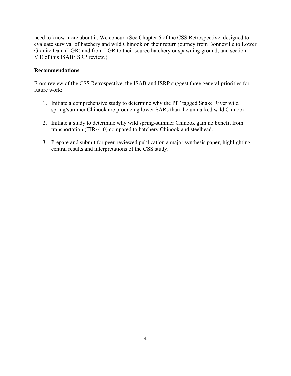need to know more about it. We concur. (See Chapter 6 of the CSS Retrospective, designed to evaluate survival of hatchery and wild Chinook on their return journey from Bonneville to Lower Granite Dam (LGR) and from LGR to their source hatchery or spawning ground, and section V.E of this ISAB/ISRP review.)

#### **Recommendations**

From review of the CSS Retrospective, the ISAB and ISRP suggest three general priorities for future work:

- 1. Initiate a comprehensive study to determine why the PIT tagged Snake River wild spring/summer Chinook are producing lower SARs than the unmarked wild Chinook.
- 2. Initiate a study to determine why wild spring-summer Chinook gain no benefit from transportation (TIR~1.0) compared to hatchery Chinook and steelhead.
- 3. Prepare and submit for peer-reviewed publication a major synthesis paper, highlighting central results and interpretations of the CSS study.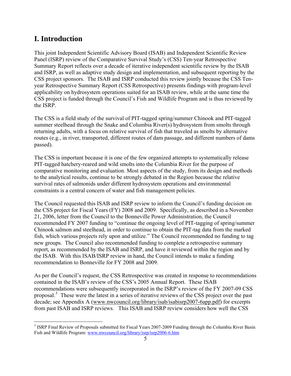## <span id="page-7-0"></span>**I. Introduction**

 $\overline{a}$ 

This joint Independent Scientific Advisory Board (ISAB) and Independent Scientific Review Panel (ISRP) review of the Comparative Survival Study's (CSS) Ten-year Retrospective Summary Report reflects over a decade of iterative independent scientific review by the ISAB and ISRP, as well as adaptive study design and implementation, and subsequent reporting by the CSS project sponsors. The ISAB and ISRP conducted this review jointly because the CSS Tenyear Retrospective Summary Report (CSS Retrospective) presents findings with program-level applicability on hydrosystem operations suited for an ISAB review, while at the same time the CSS project is funded through the Council's Fish and Wildlife Program and is thus reviewed by the ISRP.

The CSS is a field study of the survival of PIT-tagged spring/summer Chinook and PIT-tagged summer steelhead through the Snake and Columbia River(s) hydrosystem from smolts through returning adults, with a focus on relative survival of fish that traveled as smolts by alternative routes (e.g., in river, transported, different routes of dam passage, and different numbers of dams passed).

The CSS is important because it is one of the few organized attempts to systematically release PIT-tagged hatchery-reared and wild smolts into the Columbia River for the purpose of comparative monitoring and evaluation. Most aspects of the study, from its design and methods to the analytical results, continue to be strongly debated in the Region because the relative survival rates of salmonids under different hydrosystem operations and environmental constraints is a central concern of water and fish management policies.

The Council requested this ISAB and ISRP review to inform the Council's funding decision on the CSS project for Fiscal Years (FY) 2008 and 2009. Specifically, as described in a November 21, 2006, letter from the Council to the Bonneville Power Administration, the Council recommended FY 2007 funding to "continue the ongoing level of PIT-tagging of spring/summer Chinook salmon and steelhead, in order to continue to obtain the PIT-tag data from the marked fish, which various projects rely upon and utilize." The Council recommended no funding to tag new groups. The Council also recommended funding to complete a retrospective summary report, as recommended by the ISAB and ISRP, and have it reviewed within the region and by the ISAB. With this ISAB/ISRP review in hand, the Council intends to make a funding recommendation to Bonneville for FY 2008 and 2009.

As per the Council's request, the CSS Retrospective was created in response to recommendations contained in the ISAB's review of the CSS's 2005 Annual Report. These ISAB recommendations were subsequently incorporated in the ISRP's review of the FY 2007-09 CSS proposal.<sup>[3](#page-7-1)</sup> These were the latest in a series of iterative reviews of the CSS project over the past decade; see Appendix A ([www.nwcouncil.org/library/isab/isabisrp2007-6app.pdf\)](http://www.nwcouncil.org/library/isab/isabisrp2007-6app.pdf) for excerpts from past ISAB and ISRP reviews. This ISAB and ISRP review considers how well the CSS

<span id="page-7-1"></span><sup>&</sup>lt;sup>3</sup> ISRP Final Review of Proposals submitted for Fiscal Years 2007-2009 Funding through the Columbia River Basin Fish and Wildlife Program: [www.nwcouncil.org/library/isrp/isrp2006-6.htm](http://www.nwcouncil.org/library/isrp/isrp2006-6.htm)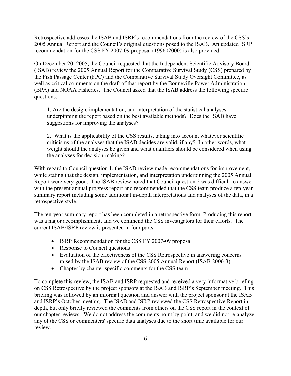Retrospective addresses the ISAB and ISRP's recommendations from the review of the CSS's 2005 Annual Report and the Council's original questions posed to the ISAB. An updated ISRP recommendation for the CSS FY 2007-09 proposal (199602000) is also provided.

On December 20, 2005, the Council requested that the Independent Scientific Advisory Board (ISAB) review the 2005 Annual Report for the Comparative Survival Study (CSS) prepared by the Fish Passage Center (FPC) and the Comparative Survival Study Oversight Committee, as well as critical comments on the draft of that report by the Bonneville Power Administration (BPA) and NOAA Fisheries. The Council asked that the ISAB address the following specific questions:

1. Are the design, implementation, and interpretation of the statistical analyses underpinning the report based on the best available methods? Does the ISAB have suggestions for improving the analyses?

2. What is the applicability of the CSS results, taking into account whatever scientific criticisms of the analyses that the ISAB decides are valid, if any? In other words, what weight should the analyses be given and what qualifiers should be considered when using the analyses for decision-making?

With regard to Council question 1, the ISAB review made recommendations for improvement, while stating that the design, implementation, and interpretation underpinning the 2005 Annual Report were very good. The ISAB review noted that Council question 2 was difficult to answer with the present annual progress report and recommended that the CSS team produce a ten-year summary report including some additional in-depth interpretations and analyses of the data, in a retrospective style.

The ten-year summary report has been completed in a retrospective form. Producing this report was a major accomplishment, and we commend the CSS investigators for their efforts. The current ISAB/ISRP review is presented in four parts:

- ISRP Recommendation for the CSS FY 2007-09 proposal
- Response to Council questions
- Evaluation of the effectiveness of the CSS Retrospective in answering concerns raised by the ISAB review of the CSS 2005 Annual Report (ISAB 2006-3).
- Chapter by chapter specific comments for the CSS team

To complete this review, the ISAB and ISRP requested and received a very informative briefing on CSS Retrospective by the project sponsors at the ISAB and ISRP's September meeting. This briefing was followed by an informal question and answer with the project sponsor at the ISAB and ISRP's October meeting. The ISAB and ISRP reviewed the CSS Retrospective Report in depth, but only briefly reviewed the comments from others on the CSS report in the context of our chapter reviews. We do not address the comments point by point, and we did not re-analyze any of the CSS or commenters' specific data analyses due to the short time available for our review.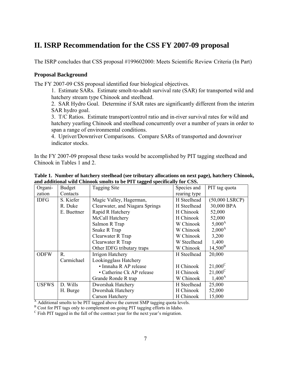# <span id="page-9-0"></span>**II. ISRP Recommendation for the CSS FY 2007-09 proposal**

The ISRP concludes that CSS proposal #199602000: Meets Scientific Review Criteria (In Part)

#### **Proposal Background**

The FY 2007-09 CSS proposal identified four biological objectives.

1. Estimate SARs. Estimate smolt-to-adult survival rate (SAR) for transported wild and hatchery stream type Chinook and steelhead.

2. SAR Hydro Goal. Determine if SAR rates are significantly different from the interim SAR hydro goal.

3. T/C Ratios. Estimate transport/control ratio and in-river survival rates for wild and hatchery yearling Chinook and steelhead concurrently over a number of years in order to span a range of environmental conditions.

4. Upriver/Downriver Comparisons. Compare SARs of transported and downriver indicator stocks.

In the FY 2007-09 proposal these tasks would be accomplished by PIT tagging steelhead and Chinook in Tables 1 and 2.

| Organi-      | <b>Budget</b> | <b>Tagging Site</b>             | Species and  | PIT tag quota    |
|--------------|---------------|---------------------------------|--------------|------------------|
| zation       | Contacts      |                                 | rearing type |                  |
| <b>IDFG</b>  | S. Kiefer     | Magic Valley, Hagerman,         | H Steelhead  | $(50,000$ LSRCP) |
|              | R. Duke       | Clearwater, and Niagara Springs | H Steelhead  | 30,000 BPA       |
|              | E. Buettner   | Rapid R Hatchery                | H Chinook    | 52,000           |
|              |               | McCall Hatchery                 | H Chinook    | 52,000           |
|              |               | Salmon R Trap                   | W Chinook    | $5,000^{\rm A}$  |
|              |               | Snake R Trap                    | W Chinook    | $2,000^{\rm A}$  |
|              |               | Clearwater R Trap               | W Chinook    | 3,200            |
|              |               | Clearwater R Trap               | W Steelhead  | 1,400            |
|              |               | Other IDFG tributary traps      | W Chinook    | $14,500^{\rm B}$ |
| <b>ODFW</b>  | R.            | Irrigon Hatchery                | H Steelhead  | 20,000           |
|              | Carmichael    | Lookingglass Hatchery           |              |                  |
|              |               | • Imnaha R AP release           | H Chinook    | $21,000^{\circ}$ |
|              |               | • Catherine Ck AP release       | H Chinook    | $21,000^{\circ}$ |
|              |               | Grande Ronde R trap             | W Chinook    | $1,400^{\rm A}$  |
| <b>USFWS</b> | D. Wills      | Dworshak Hatchery               | H Steelhead  | 25,000           |
|              | H. Burge      | Dworshak Hatchery               | H Chinook    | 52,000           |
|              |               | Carson Hatchery                 | H Chinook    | 15,000           |

| Table 1. Number of hatchery steelhead (see tributary allocations on next page), hatchery Chinook, |  |  |  |
|---------------------------------------------------------------------------------------------------|--|--|--|
| and additional wild Chinook smolts to be PIT tagged specifically for CSS.                         |  |  |  |

<sup>A</sup> Additional smolts to be PIT tagged above the current SMP tagging quota levels.

<sup>B</sup> Cost for PIT tags only to complement on-going PIT tagging efforts in Idaho.

<sup>C</sup> Fish PIT tagged in the fall of the contract year for the next year's migration.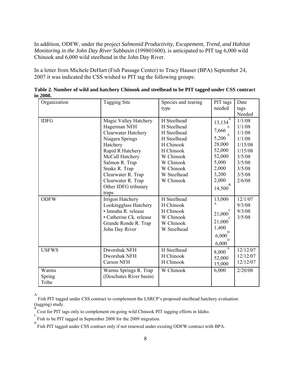In addition, ODFW, under the project *Salmonid Productivity, Escapement, Trend, and Habitat Monitoring in the John Day River Subbasin* (199801600), is anticipated to PIT tag 6,000 wild Chinook and 6,000 wild steelhead in the John Day River.

In a letter from Michele DeHart (Fish Passage Center) to Tracy Hauser (BPA) September 24, 2007 it was indicated the CSS wished to PIT tag the following groups:

| Organization             | <b>Tagging Site</b>                                                                                                                                                                                                                                | Species and rearing<br>type                                                                                                                                        | PIT tags<br>needed                                                                                                  | Date<br>tags<br>Needed                                                                                       |
|--------------------------|----------------------------------------------------------------------------------------------------------------------------------------------------------------------------------------------------------------------------------------------------|--------------------------------------------------------------------------------------------------------------------------------------------------------------------|---------------------------------------------------------------------------------------------------------------------|--------------------------------------------------------------------------------------------------------------|
| <b>IDFG</b>              | Magic Valley Hatchery<br>Hagerman NFH<br>Clearwater Hatchery<br>Niagara Springs<br>Hatchery<br>Rapid R Hatchery<br>McCall Hatchery<br>Salmon R. Trap<br>Snake R. Trap<br>Clearwater R. Trap<br>Clearwater R. Trap<br>Other IDFG tributary<br>traps | $\overline{H}$ Steelhead<br>H Steelhead<br>H Steelhead<br>H Steelhead<br>H Chinook<br>H Chinook<br>W Chinook<br>W Chinook<br>W Chinook<br>W Steelhead<br>W Chinook | A<br>13,134<br>7,666<br>A<br>5,200<br>28,000<br>52,000<br>52,000<br>5,000<br>2,000<br>3,200<br>2,000<br>B<br>14,500 | 1/1/08<br>1/1/08<br>1/1/08<br>1/1/08<br>1/15/08<br>1/15/08<br>3/5/08<br>3/5/08<br>3/5/08<br>3/5/08<br>2/6/08 |
| <b>ODFW</b>              | Irrigon Hatchery<br>Lookingglass Hatchery<br>· Imnaha R. release<br>• Catherine Ck. release<br>Grande Ronde R. Trap<br>John Day River                                                                                                              | H Steelhead<br>H Chinook<br>H Chinook<br>W Chinook<br>W Chinook<br>W Steelhead                                                                                     | 13,000<br>A<br>C<br>21,000<br>C<br>21,000<br>1,400<br>D<br>6,000<br>D<br>6,000                                      | 12/1/07<br>9/3/08<br>9/3/08<br>3/5/08                                                                        |
| <b>USFWS</b>             | Dworshak NFH<br>Dworshak NFH<br><b>Carson NFH</b>                                                                                                                                                                                                  | H Steelhead<br>H Chinook<br>H Chinook                                                                                                                              | $\overline{A}$<br>8,000<br>52,000<br>15,000                                                                         | 12/12/07<br>12/12/07<br>12/12/07                                                                             |
| Warms<br>Spring<br>Tribe | Warms Springs R. Trap<br>(Deschutes River basin)                                                                                                                                                                                                   | W Chinook                                                                                                                                                          | 6,000                                                                                                               | 2/20/08                                                                                                      |

**Table 2. Number of wild and hatchery Chinook and steelhead to be PIT tagged under CSS contract in 2008.** 

A Fish PIT tagged under CSS contract to complement the LSRCP's proposed steelhead hatchery evaluation  $(\text{tagging})$  study.

 $\sum_{k=0}^{B}$  Cost for PIT tags only to complement on-going wild Chinook PIT tagging efforts in Idaho.

Fish to be PIT tagged in September 2008 for the 2009 migration.

<sup>&</sup>lt;sup>D</sup><br>Fish PIT tagged under CSS contract only if not renewed under existing ODFW contract with BPA.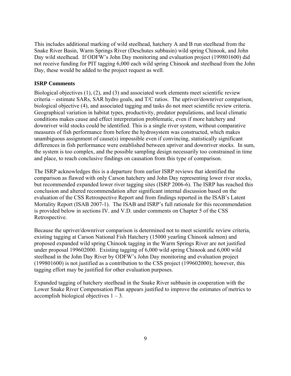This includes additional marking of wild steelhead, hatchery A and B run steelhead from the Snake River Basin, Warm Springs River (Deschutes subbasin) wild spring Chinook, and John Day wild steelhead. If ODFW's John Day monitoring and evaluation project (199801600) did not receive funding for PIT tagging 6,000 each wild spring Chinook and steelhead from the John Day, these would be added to the project request as well.

#### **ISRP Comments**

Biological objectives (1), (2), and (3) and associated work elements meet scientific review criteria – estimate SARs, SAR hydro goals, and T/C ratios. The upriver/downriver comparison, biological objective (4), and associated tagging and tasks do not meet scientific review criteria. Geographical variation in habitat types, productivity, predator populations, and local climatic conditions makes cause and effect interpretation problematic, even if more hatchery and downriver wild stocks could be identified. This is a single river system, without comparative measures of fish performance from before the hydrosystem was constructed, which makes unambiguous assignment of cause(s) impossible even if convincing, statistically significant differences in fish performance were established between upriver and downriver stocks. In sum, the system is too complex, and the possible sampling design necessarily too constrained in time and place, to reach conclusive findings on causation from this type of comparison.

The ISRP acknowledges this is a departure from earlier ISRP reviews that identified the comparison as flawed with only Carson hatchery and John Day representing lower river stocks, but recommended expanded lower river tagging sites (ISRP 2006-6). The ISRP has reached this conclusion and altered recommendation after significant internal discussion based on the evaluation of the CSS Retrospective Report and from findings reported in the ISAB's Latent Mortality Report (ISAB 2007-1). The ISAB and ISRP's full rationale for this recommendation is provided below in sections IV. and V.D. under comments on Chapter 5 of the CSS Retrospective.

Because the upriver/downriver comparison is determined not to meet scientific review criteria, existing tagging at Carson National Fish Hatchery (15000 yearling Chinook salmon) and proposed expanded wild spring Chinook tagging in the Warm Springs River are not justified under proposal 199602000. Existing tagging of 6,000 wild spring Chinook and 6,000 wild steelhead in the John Day River by ODFW's John Day monitoring and evaluation project (199801600) is not justified as a contribution to the CSS project (199602000); however, this tagging effort may be justified for other evaluation purposes.

Expanded tagging of hatchery steelhead in the Snake River subbasin in cooperation with the Lower Snake River Compensation Plan appears justified to improve the estimates of metrics to accomplish biological objectives  $1 - 3$ .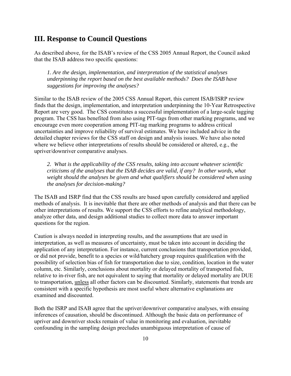## <span id="page-12-0"></span>**III. Response to Council Questions**

As described above, for the ISAB's review of the CSS 2005 Annual Report, the Council asked that the ISAB address two specific questions:

*1. Are the design, implementation, and interpretation of the statistical analyses underpinning the report based on the best available methods? Does the ISAB have suggestions for improving the analyses?* 

Similar to the ISAB review of the 2005 CSS Annual Report, this current ISAB/ISRP review finds that the design, implementation, and interpretation underpinning the 10-Year Retrospective Report are very good. The CSS constitutes a successful implementation of a large-scale tagging program. The CSS has benefited from also using PIT-tags from other marking programs, and we encourage even more cooperation among PIT-tag marking programs to address critical uncertainties and improve reliability of survival estimates. We have included advice in the detailed chapter reviews for the CSS staff on design and analysis issues. We have also noted where we believe other interpretations of results should be considered or altered, e.g., the upriver/downriver comparative analyses.

*2. What is the applicability of the CSS results, taking into account whatever scientific criticisms of the analyses that the ISAB decides are valid, if any? In other words, what weight should the analyses be given and what qualifiers should be considered when using the analyses for decision-making?* 

The ISAB and ISRP find that the CSS results are based upon carefully considered and applied methods of analysis. It is inevitable that there are other methods of analysis and that there can be other interpretations of results. We support the CSS efforts to refine analytical methodology, analyze other data, and design additional studies to collect more data to answer important questions for the region.

Caution is always needed in interpreting results, and the assumptions that are used in interpretation, as well as measures of uncertainty, must be taken into account in deciding the application of any interpretation. For instance, current conclusions that transportation provided, or did not provide, benefit to a species or wild/hatchery group requires qualification with the possibility of selection bias of fish for transportation due to size, condition, location in the water column, etc. Similarly, conclusions about mortality or delayed mortality of transported fish, relative to in-river fish, are not equivalent to saying that mortality or delayed mortality are DUE to transportation, unless all other factors can be discounted. Similarly, statements that trends are consistent with a specific hypothesis are most useful where alternative explanations are examined and discounted.

Both the ISRP and ISAB agree that the upriver/downriver comparative analyses, with ensuing inferences of causation, should be discontinued. Although the basic data on performance of upriver and downriver stocks remain of value in monitoring and evaluation, inevitable confounding in the sampling design precludes unambiguous interpretation of cause of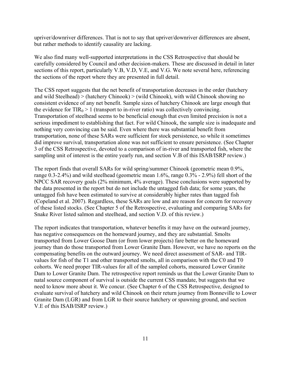upriver/downriver differences. That is not to say that upriver/downriver differences are absent, but rather methods to identify causality are lacking.

We also find many well-supported interpretations in the CSS Retrospective that should be carefully considered by Council and other decision-makers. These are discussed in detail in later sections of this report, particularly V.B, V.D, V.E, and V.G. We note several here, referencing the sections of the report where they are presented in full detail.

The CSS report suggests that the net benefit of transportation decreases in the order (hatchery and wild Steelhead) > (hatchery Chinook) > (wild Chinook), with wild Chinook showing no consistent evidence of any net benefit. Sample sizes of hatchery Chinook are large enough that the evidence for  $TIR_0 > 1$  (transport to in-river ratio) was collectively convincing. Transportation of steelhead seems to be beneficial enough that even limited precision is not a serious impediment to establishing that fact. For wild Chinook, the sample size is inadequate and nothing very convincing can be said. Even where there was substantial benefit from transportation, none of these SARs were sufficient for stock persistence, so while it sometimes did improve survival, transportation alone was not sufficient to ensure persistence. (See Chapter 3 of the CSS Retrospective, devoted to a comparison of in-river and transported fish, where the sampling unit of interest is the entire yearly run, and section V.B of this ISAB/ISRP review.)

The report finds that overall SARs for wild spring/summer Chinook (geometric mean 0.9%, range 0.3-2.4%) and wild steelhead (geometric mean 1.6%, range 0.3% - 2.9%) fell short of the NPCC SAR recovery goals (2% minimum, 4% average). These conclusions were supported by the data presented in the report but do not include the untagged fish data; for some years, the untagged fish have been estimated to survive at considerably higher rates than tagged fish (Copeland et al. 2007). Regardless, these SARs are low and are reason for concern for recovery of these listed stocks. (See Chapter 5 of the Retrospective, evaluating and comparing SARs for Snake River listed salmon and steelhead, and section V.D. of this review.)

The report indicates that transportation, whatever benefits it may have on the outward journey, has negative consequences on the homeward journey, and they are substantial. Smolts transported from Lower Goose Dam (or from lower projects) fare better on the homeward journey than do those transported from Lower Granite Dam. However, we have no reports on the compensating benefits on the outward journey. We need direct assessment of SAR- and TIRvalues for fish of the T1 and other transported smolts, all in comparison with the C0 and T0 cohorts. We need proper TIR-values for all of the sampled cohorts, measured Lower Granite Dam to Lower Granite Dam. The retrospective report reminds us that the Lower Granite Dam to natal source component of survival is outside the current CSS mandate, but suggests that we need to know more about it. We concur. (See Chapter 6 of the CSS Retrospective, designed to evaluate survival of hatchery and wild Chinook on their return journey from Bonneville to Lower Granite Dam (LGR) and from LGR to their source hatchery or spawning ground, and section V.E of this ISAB/ISRP review.)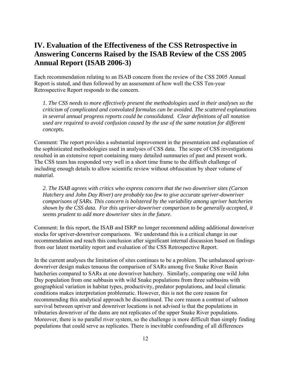## <span id="page-14-0"></span>**IV. Evaluation of the Effectiveness of the CSS Retrospective in Answering Concerns Raised by the ISAB Review of the CSS 2005 Annual Report (ISAB 2006-3)**

Each recommendation relating to an ISAB concern from the review of the CSS 2005 Annual Report is stated, and then followed by an assessment of how well the CSS Ten-year Retrospective Report responds to the concern.

*1. The CSS needs to more effectively present the methodologies used in their analyses so the criticism of complicated and convoluted formulas can be avoided. The scattered explanations in several annual progress reports could be consolidated. Clear definitions of all notation used are required to avoid confusion caused by the use of the same notation for different concepts.* 

Comment: The report provides a substantial improvement in the presentation and explanation of the sophisticated methodologies used in analyses of CSS data. The scope of CSS investigations resulted in an extensive report containing many detailed summaries of past and present work. The CSS team has responded very well in a short time frame to the difficult challenge of including enough details to allow scientific review without obfuscation by sheer volume of material.

*2. The ISAB agrees with critics who express concern that the two downriver sites (Carson Hatchery and John Day River) are probably too few to give accurate upriver-downriver comparisons of SARs. This concern is bolstered by the variability among upriver hatcheries shown by the CSS data. For this upriver-downriver comparison to be generally accepted, it seems prudent to add more downriver sites in the future.* 

Comment: In this report, the ISAB and ISRP no longer recommend adding additional downriver stocks for upriver-downriver comparisons. We understand this is a critical change in our recommendation and reach this conclusion after significant internal discussion based on findings from our latent mortality report and evaluation of the CSS Retrospective Report.

In the current analyses the limitation of sites continues to be a problem. The unbalanced upriverdownriver design makes tenuous the comparison of SARs among five Snake River Basin hatcheries compared to SARs at one downriver hatchery. Similarly, comparing one wild John Day population from one subbasin with wild Snake populations from three subbasins with geographical variation in habitat types, productivity, predator populations, and local climatic conditions makes interpretation problematic. However, this is not the core reason for recommending this analytical approach be discontinued. The core reason a contrast of salmon survival between upriver and downriver locations is not advised is that the populations in tributaries downriver of the dams are not replicates of the upper Snake River populations. Moreover, there is no parallel river system, so the challenge is more difficult than simply finding populations that could serve as replicates. There is inevitable confounding of all differences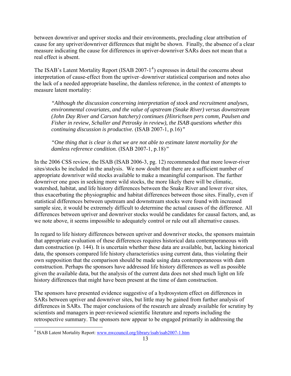between downriver and upriver stocks and their environments, precluding clear attribution of cause for any upriver/downriver differences that might be shown. Finally, the absence of a clear measure indicating the cause for differences in upriver-downriver SARs does not mean that a real effect is absent.

The ISAB's Latent Mortality Report (ISAB 2007-1<sup>[4](#page-15-0)</sup>) expresses in detail the concerns about interpretation of cause-effect from the upriver–downriver statistical comparison and notes also the lack of a needed appropriate baseline, the damless reference, in the context of attempts to measure latent mortality:

*"Although the discussion concerning interpretation of stock and recruitment analyses, environmental covariates, and the value of upstream (Snake River) versus downstream (John Day River and Carson hatchery) continues (Hinrichsen pers comm, Paulsen and Fisher in review, Schaller and Petrosky in review), the ISAB questions whether this continuing discussion is productive.* (ISAB 2007-1, p.16)*"* 

*"One thing that is clear is that we are not able to estimate latent mortality for the damless reference condition.* (ISAB 2007-1, p.18)*"*

In the 2006 CSS review, the ISAB (ISAB 2006-3, pg. 12) recommended that more lower-river sites/stocks be included in the analysis. We now doubt that there are a sufficient number of appropriate downriver wild stocks available to make a meaningful comparison. The further downriver one goes in seeking more wild stocks, the more likely there will be climatic, watershed, habitat, and life history differences between the Snake River and lower river sites, thus exacerbating the physiographic and habitat differences between those sites. Finally, even if statistical differences between upstream and downstream stocks were found with increased sample size, it would be extremely difficult to determine the actual causes of the difference. All differences between upriver and downriver stocks would be candidates for causal factors, and, as we note above, it seems impossible to adequately control or rule out all alternative causes.

In regard to life history differences between upriver and downriver stocks, the sponsors maintain that appropriate evaluation of these differences requires historical data contemporaneous with dam construction (p. 144). It is uncertain whether these data are available, but, lacking historical data, the sponsors compared life history characteristics using current data, thus violating their own supposition that the comparison should be made using data contemporaneous with dam construction. Perhaps the sponsors have addressed life history differences as well as possible given the available data, but the analysis of the current data does not shed much light on life history differences that might have been present at the time of dam construction.

The sponsors have presented evidence suggestive of a hydrosystem effect on differences in SARs between upriver and downriver sites, but little may be gained from further analysis of differences in SARs. The major conclusions of the research are already available for scrutiny by scientists and managers in peer-reviewed scientific literature and reports including the retrospective summary. The sponsors now appear to be engaged primarily in addressing the

<span id="page-15-0"></span><sup>&</sup>lt;sup>4</sup> ISAB Latent Mortality Report: www.nwcouncil.org/library/isab/isab2007-1.htm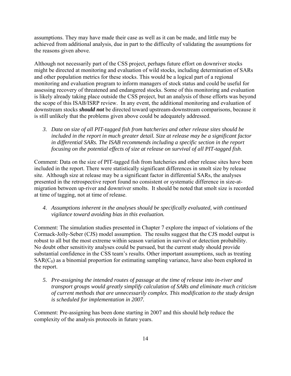assumptions. They may have made their case as well as it can be made, and little may be achieved from additional analysis, due in part to the difficulty of validating the assumptions for the reasons given above.

Although not necessarily part of the CSS project, perhaps future effort on downriver stocks might be directed at monitoring and evaluation of wild stocks, including determination of SARs and other population metrics for these stocks. This would be a logical part of a regional monitoring and evaluation program to inform managers of stock status and could be useful for assessing recovery of threatened and endangered stocks. Some of this monitoring and evaluation is likely already taking place outside the CSS project, but an analysis of those efforts was beyond the scope of this ISAB/ISRP review. In any event, the additional monitoring and evaluation of downstream stocks *should not* be directed toward upstream-downstream comparisons, because it is still unlikely that the problems given above could be adequately addressed.

*3. Data on size of all PIT-tagged fish from hatcheries and other release sites should be included in the report in much greater detail. Size at release may be a significant factor in differential SARs. The ISAB recommends including a specific section in the report focusing on the potential effects of size at release on survival of all PIT-tagged fish.* 

Comment: Data on the size of PIT-tagged fish from hatcheries and other release sites have been included in the report. There were statistically significant differences in smolt size by release site. Although size at release may be a significant factor in differential SARs, the analyses presented in the retrospective report found no consistent or systematic difference in size-atmigration between up-river and downriver smolts. It should be noted that smolt size is recorded at time of tagging, not at time of release.

*4. Assumptions inherent in the analyses should be specifically evaluated, with continued vigilance toward avoiding bias in this evaluation.* 

Comment: The simulation studies presented in Chapter 7 explore the impact of violations of the Cormack-Jolly-Seber (CJS) model assumption. The results suggest that the CJS model output is robust to all but the most extreme within season variation in survival or detection probability. No doubt other sensitivity analyses could be pursued, but the current study should provide substantial confidence in the CSS team's results. Other important assumptions, such as treating  $SAR(C<sub>0</sub>)$  as a binomial proportion for estimating sampling variance, have also been explored in the report.

*5. Pre-assigning the intended routes of passage at the time of release into in-river and transport groups would greatly simplify calculation of SARs and eliminate much criticism of current methods that are unnecessarily complex. This modification to the study design is scheduled for implementation in 2007.* 

Comment: Pre-assigning has been done starting in 2007 and this should help reduce the complexity of the analysis protocols in future years.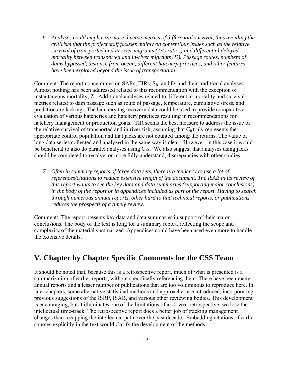<span id="page-17-0"></span>*6. Analyses could emphasize more diverse metrics of differential survival, thus avoiding the criticism that the project staff focuses mainly on contentious issues such as the relative survival of transported and in-river migrants (T/C ratios) and differential delayed mortality between transported and in-river migrants (D). Passage routes, numbers of dams bypassed, distance from ocean, different hatchery practices, and other features have been explored beyond the issue of transportation.* 

Comment: The report concentrates on SARs, TIRs, SR, and D, and their traditional analyses. Almost nothing has been addressed related to this recommendation with the exception of instantaneous mortality, Z. Additional analyses related to differential mortality and survival metrics related to dam passage such as route of passage, temperature, cumulative stress, and predation are lacking. The hatchery tag recovery data could be used to provide comparative evaluation of various hatcheries and hatchery practices resulting in recommendations for hatchery management or production goals. TIR seems the best measure to address the issue of the relative survival of transported and in river fish, assuming that  $C_0$  truly represents the appropriate control population and that jacks are not counted among the returns. The value of long data series collected and analyzed in the same way is clear. However, in this case it would be beneficial to also do parallel analyses using  $C_1$ s. We also suggest that analyses using jacks should be completed to resolve, or more fully understand, discrepancies with other studies.

*7. Often in summary reports of large data sets, there is a tendency to use a lot of references/citations to reduce extensive length of the document. The ISAB in its review of this report wants to see the key data and data summaries (supporting major conclusions) in the body of the report or in appendices included as part of the report. Having to search through numerous annual reports, other hard to find technical reports, or publications reduces the prospects of a timely review.* 

Comment: The report presents key data and data summaries in support of their major conclusions. The body of the text is long for a summary report, reflecting the scope and complexity of the material summarized. Appendices could have been used even more to handle the extensive details.

## **V. Chapter by Chapter Specific Comments for the CSS Team**

It should be noted that, because this is a retrospective report, much of what is presented is a summarization of earlier reports, without specifically referencing them. There have been many annual reports and a lesser number of publications that are too voluminous to reproduce here. In later chapters, some alternative statistical methods and approaches are introduced, incorporating previous suggestions of the ISRP, ISAB, and various other reviewing bodies. This development is encouraging, but it illuminates one of the limitations of a 10-year retrospective: we lose the intellectual time-track. The retrospective report does a better job of tracking management changes than recapping the intellectual path over the past decade. Embedding citations of earlier sources explicitly in the text would clarify the development of the methods.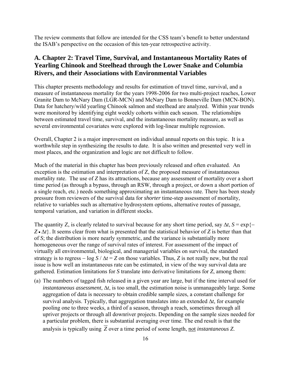<span id="page-18-0"></span>The review comments that follow are intended for the CSS team's benefit to better understand the ISAB's perspective on the occasion of this ten-year retrospective activity.

### **A. Chapter 2: Travel Time, Survival, and Instantaneous Mortality Rates of Yearling Chinook and Steelhead through the Lower Snake and Columbia Rivers, and their Associations with Environmental Variables**

This chapter presents methodology and results for estimation of travel time, survival, and a measure of instantaneous mortality for the years 1998-2006 for two multi-project reaches, Lower Granite Dam to McNary Dam (LGR-MCN) and McNary Dam to Bonneville Dam (MCN-BON). Data for hatchery/wild yearling Chinook salmon and steelhead are analyzed. Within year trends were monitored by identifying eight weekly cohorts within each season. The relationships between estimated travel time, survival, and the instantaneous mortality measure, as well as several environmental covariates were explored with log-linear multiple regression.

Overall, Chapter 2 is a major improvement on individual annual reports on this topic. It is a worthwhile step in synthesizing the results to date. It is also written and presented very well in most places, and the organization and logic are not difficult to follow.

Much of the material in this chapter has been previously released and often evaluated. An exception is the estimation and interpretation of Z, the proposed measure of instantaneous mortality rate. The use of *Z* has its attractions, because any assessment of mortality over a short time period (as through a bypass, through an RSW, through a project, or down a short portion of a single reach, etc.) needs something approximating an instantaneous rate. There has been steady pressure from reviewers of the survival data for *shorter* time-step assessment of mortality, relative to variables such as alternative hydrosystem options, alternative routes of passage, temporal variation, and variation in different stocks.

The quantity Z, is clearly related to survival because for any short time period, say  $\Delta t$ ,  $S = \exp\{-\Delta t\}$ *Z* • Δ*t*}. It seems clear from what is presented that the statistical behavior of *Z* is better than that of *S*; the distribution is more nearly symmetric, and the variance is substantially more homogeneous over the range of survival rates of interest. For assessment of the impact of virtually all environmental, biological, and managerial variables on survival, the standard strategy is to regress –  $\log S / \Delta t = Z$  on those variables. Thus, *Z* is not really new, but the real issue is how well an instantaneous rate can be estimated, in view of the way survival data are gathered. Estimation limitations for *S* translate into derivative limitations for *Z*, among them:

(a) The numbers of tagged fish released in a given year are large, but if the time interval used for *instantaneous assessment*, Δ*t*, is too small, the estimation noise is unmanageably large. Some aggregation of data is necessary to obtain credible sample sizes, a constant challenge for survival analysis. Typically, that aggregation translates into an extended Δ*t*, for example pooling one to three weeks, a third of a season, through a reach, sometimes through all upriver projects or through all downriver projects. Depending on the sample sizes needed for a particular problem, there is substantial averaging over time. The end result is that the analysis is typically using *Z* over a time period of some length, not *instantaneous Z*.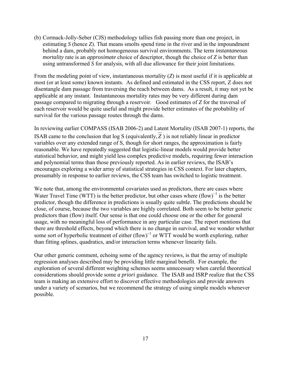(b) Cormack-Jolly-Seber (CJS) methodology tallies fish passing more than one project, in estimating *S* (hence *Z*). That means smolts spend time in the river and in the impoundment behind a dam, probably not homogeneous survival environments. The term *instantaneous mortality* rate is an *approximate* choice of descriptor, though the choice of *Z* is better than using untransformed *S* for analysis, with all due allowance for their joint limitations.

From the modeling point of view, instantaneous mortality (*Z*) is most useful if it is applicable at most (or at least some) known instants. As defined and estimated in the CSS report, Z does not disentangle dam passage from traversing the reach between dams. As a result, it may not yet be applicable at any instant. Instantaneous mortality rates may be very different during dam passage compared to migrating through a reservoir. Good estimates of *Z* for the traversal of each reservoir would be quite useful and might provide better estimates of the probability of survival for the various passage routes through the dams.

In reviewing earlier COMPASS (ISAB 2006-2) and Latent Mortality (ISAB 2007-1) reports, the ISAB came to the conclusion that  $\log S$  (equivalently,  $\overline{Z}$ ) is not reliably linear in predictor variables over any extended range of S, though for short ranges, the approximation is fairly reasonable. We have repeatedly suggested that logistic-linear models would provide better statistical behavior, and might yield less complex predictive models, requiring fewer interaction and polynomial terms than those previously reported. As in earlier reviews, the ISAB's encourages exploring a wider array of statistical strategies in CSS context. For later chapters, presumably in response to earlier reviews, the CSS team has switched to logistic treatment.

We note that, among the environmental covariates used as predictors, there are cases where Water Travel Time (WTT) is the better predictor, but other cases where  $(flow)^{-1}$  is the better predictor, though the difference in predictions is usually quite subtle. The predictions should be close, of course, because the two variables are highly correlated. Both seem to be better generic predictors than (flow) itself. Our sense is that one could choose one or the other for general usage, with no meaningful loss of performance in any particular case. The report mentions that there are threshold effects, beyond which there is no change in survival, and we wonder whether some sort of hyperbolic treatment of either  $(flow)^{-1}$  or WTT would be worth exploring, rather than fitting splines, quadratics, and/or interaction terms whenever linearity fails.

Our other generic comment, echoing some of the agency reviews, is that the array of multiple regression analyses described may be providing little marginal benefit. For example, the exploration of several different weighting schemes seems unnecessary when careful theoretical considerations should provide some *a priori* guidance. The ISAB and ISRP realize that the CSS team is making an extensive effort to discover effective methodologies and provide answers under a variety of scenarios, but we recommend the strategy of using simple models whenever possible.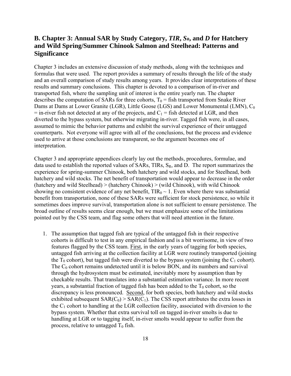## <span id="page-20-0"></span>**B. Chapter 3: Annual SAR by Study Category,** *TIR***,** *SR***, and** *D* **for Hatchery and Wild Spring/Summer Chinook Salmon and Steelhead: Patterns and Significance**

Chapter 3 includes an extensive discussion of study methods, along with the techniques and formulas that were used. The report provides a summary of results through the life of the study and an overall comparison of study results among years. It provides clear interpretations of these results and summary conclusions. This chapter is devoted to a comparison of in-river and transported fish, where the sampling unit of interest is the entire yearly run. The chapter describes the computation of SARs for three cohorts,  $T_0$  = fish transported from Snake River Dams at Dams at Lower Granite (LGR), Little Goose (LGS) and Lower Monumental (LMN),  $C_0$  $=$  in-river fish not detected at any of the projects, and  $C_1$  = fish detected at LGR, and then diverted to the bypass system, but otherwise migrating in-river. Tagged fish were, in all cases, assumed to mimic the behavior patterns and exhibit the survival experience of their untagged counterparts. Not everyone will agree with all of the conclusions, but the process and evidence used to arrive at those conclusions are transparent, so the argument becomes one of interpretation.

Chapter 3 and appropriate appendices clearly lay out the methods, procedures, formulae, and data used to establish the reported values of SARs, TIRs, S<sub>R</sub>, and D. The report summarizes the experience for spring-summer Chinook, both hatchery and wild stocks, and for Steelhead, both hatchery and wild stocks. The net benefit of transportation would appear to decrease in the order (hatchery and wild Steelhead) > (hatchery Chinook) > (wild Chinook), with wild Chinook showing no consistent evidence of any net benefit,  $TIR_0 \sim 1$ . Even where there was substantial benefit from transportation, none of these SARs were sufficient for stock persistence, so while it sometimes does improve survival, transportation alone is not sufficient to ensure persistence. The broad outline of results seems clear enough, but we must emphasize some of the limitations pointed out by the CSS team, and flag some others that will need attention in the future.

1. The assumption that tagged fish are typical of the untagged fish in their respective cohorts is difficult to test in any empirical fashion and is a bit worrisome, in view of two features flagged by the CSS team. First, in the early years of tagging for both species, untagged fish arriving at the collection facility at LGR were routinely transported (joining the  $T_0$  cohort), but tagged fish were diverted to the bypass system (joining the  $C_1$  cohort). The  $C_0$  cohort remains undetected until it is below BON, and its numbers and survival through the hydrosystem must be estimated, inevitably more by assumption than by checkable results. That translates into a substantial estimation variance. In more recent years, a substantial fraction of tagged fish has been added to the  $T_0$  cohort, so the discrepancy is less pronounced. Second, for both species, both hatchery and wild stocks exhibited subsequent  $SAR(C_0) > SAR(C_1)$ . The CSS report attributes the extra losses in the  $C_1$  cohort to handling at the LGR collection facility, associated with diversion to the bypass system. Whether that extra survival toll on tagged in-river smolts is due to handling at LGR or to tagging itself, in-river smolts would appear to suffer from the process, relative to untagged  $T_0$  fish.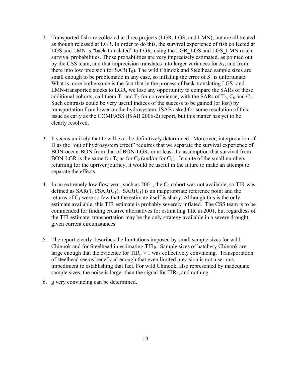- 2. Transported fish are collected at three projects (LGR, LGS, and LMN), but are all treated as though released at LGR. In order to do this, the survival experience of fish collected at LGS and LMN is "back-translated" to LGR, using the LGR LGS and LGS LMN reach survival probabilities. Those probabilities are very imprecisely estimated, as pointed out by the CSS team, and that imprecision translates into larger variances for  $S_T$ , and from there into low precision for  $SAR(T_0)$ . The wild Chinook and Steelhead sample sizes are small enough to be problematic in any case, so inflating the error of  $S_T$  is unfortunate. What is more bothersome is the fact that in the process of back-translating LGS- and LMN-transported stocks to LGR, we lose any opportunity to compare the SARs of these additional cohorts, call them  $T_1$  and  $T_2$  for convenience, with the SARs of  $T_0$ ,  $C_0$  and  $C_1$ . Such contrasts could be very useful indices of the success to be gained (or lost) by transportation from lower on the hydrosystem. ISAB asked for some resolution of this issue as early as the COMPASS (ISAB 2006-2) report, but this matter has yet to be clearly resolved.
- 3. It seems unlikely that D will ever be definitively determined. Moreover, interpretation of D as the "out of hydrosystem effect" requires that we separate the survival experience of BON-ocean-BON from that of BON-LGR, or at least the assumption that survival from BON-LGR is the same for  $T_0$  as for  $C_0$  (and/or for  $C_1$ ). In spite of the small numbers returning for the upriver journey, it would be useful in the future to make an attempt to separate the effects.
- 4. In an extremely low flow year, such as 2001, the  $C_0$  cohort was not available, so TIR was defined as  $SAR(T_0)/SAR(C_1)$ .  $SAR(C_1)$  is an inappropriate reference point and the returns of  $C_1$  were so few that the estimate itself is shaky. Although this is the only estimate available, this TIR estimate is probably severely inflated. The CSS team is to be commended for finding creative alternatives for estimating TIR in 2001, but regardless of the TIR estimate, transportation may be the only strategy available in a severe drought, given current circumstances.
- 5. The report clearly describes the limitations imposed by small sample sizes for wild Chinook and for Steelhead in estimating TIR<sub>0</sub>. Sample sizes of hatchery Chinook are large enough that the evidence for  $TIR_0 > 1$  was collectively convincing. Transportation of steelhead seems beneficial enough that even limited precision is not a serious impediment to establishing that fact. For wild Chinook, also represented by inadequate sample sizes, the noise is larger than the signal for  $TIR_0$ , and nothing
- 6. g very convincing can be determined.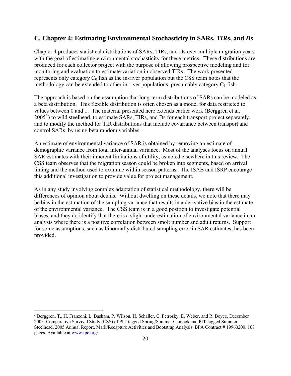### <span id="page-22-0"></span>**C. Chapter 4: Estimating Environmental Stochasticity in SARs,** *TIR***s, and** *D***s**

Chapter 4 produces statistical distributions of SARs, TIRs, and Ds over multiple migration years with the goal of estimating environmental stochasticity for these metrics. These distributions are produced for each collector project with the purpose of allowing prospective modeling and for monitoring and evaluation to estimate variation in observed TIRs. The work presented represents only category  $C_0$  fish as the in-river population but the CSS team notes that the methodology can be extended to other in-river populations, presumably category  $C_1$  fish.

The approach is based on the assumption that long-term distributions of SARs can be modeled as a beta distribution. This flexible distribution is often chosen as a model for data restricted to values between 0 and 1. The material presented here extends earlier work (Berggren et al. 200[5](#page-22-1)<sup>5</sup>) to wild steelhead, to estimate SARs, TIRs, and Ds for each transport project separately, and to modify the method for TIR distributions that include covariance between transport and control SARs, by using beta random variables.

An estimate of environmental variance of SAR is obtained by removing an estimate of demographic variance from total inter-annual variance. Most of the analyses focus on annual SAR estimates with their inherent limitations of utility, as noted elsewhere in this review. The CSS team observes that the migration season could be broken into segments, based on arrival timing and the method used to examine within season patterns. The ISAB and ISRP encourage this additional investigation to provide value for project management.

As in any study involving complex adaptation of statistical methodology, there will be differences of opinion about details. Without dwelling on these details, we note that there may be bias in the estimation of the sampling variance that results in a derivative bias in the estimate of the environmental variance. The CSS team is in a good position to investigate potential biases, and they do identify that there is a slight underestimation of environmental variance in an analysis where there is a positive correlation between smolt number and adult returns. Support for some assumptions, such as binomially distributed sampling error in SAR estimates, has been provided.

 $\overline{a}$ 

<span id="page-22-1"></span><sup>5</sup> Berggren, T., H. Franzoni, L. Basham, P. Wilson, H. Schaller, C. Petrosky, E. Weber, and R. Boyce. December 2005. Comparative Survival Study (CSS) of PIT-tagged Spring/Summer Chinook and PIT-tagged Summer Steelhead, 2005 Annual Report, Mark/Recapture Activities and Bootstrap Analysis. BPA Contract # 19960200. 107 pages. Available at [www.fpc.org/](http://www.fpc.org/)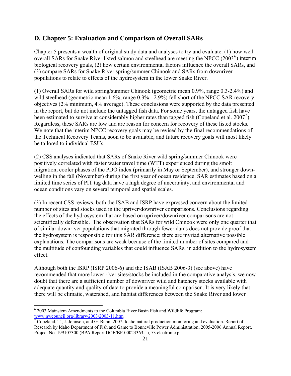### <span id="page-23-0"></span>**D. Chapter 5: Evaluation and Comparison of Overall SARs**

Chapter 5 presents a wealth of original study data and analyses to try and evaluate: (1) how well overall SARs for Snake River listed salmon and steelhead are meeting the NPCC  $(2003^6)$  $(2003^6)$  $(2003^6)$  interim biological recovery goals, (2) how certain environmental factors influence the overall SARs, and (3) compare SARs for Snake River spring/summer Chinook and SARs from downriver populations to relate to effects of the hydrosystem in the lower Snake River.

(1) Overall SARs for wild spring/summer Chinook (geometric mean 0.9%, range 0.3-2.4%) and wild steelhead (geometric mean 1.6%, range 0.3% - 2.9%) fell short of the NPCC SAR recovery objectives (2% minimum, 4% average). These conclusions were supported by the data presented in the report, but do not include the untagged fish data. For some years, the untagged fish have been estimated to survive at considerably higher rates than tagged fish (Copeland et al.  $2007^7$  $2007^7$  $2007^7$ ). Regardless, these SARs are low and are reason for concern for recovery of these listed stocks. We note that the interim NPCC recovery goals may be revised by the final recommendations of the Technical Recovery Teams, soon to be available, and future recovery goals will most likely be tailored to individual ESUs.

(2) CSS analyses indicated that SARs of Snake River wild spring/summer Chinook were positively correlated with faster water travel time (WTT) experienced during the smolt migration, cooler phases of the PDO index (primarily in May or September), and stronger downwelling in the fall (November) during the first year of ocean residence. SAR estimates based on a limited time series of PIT tag data have a high degree of uncertainty, and environmental and ocean conditions vary on several temporal and spatial scales.

(3) In recent CSS reviews, both the ISAB and ISRP have expressed concern about the limited number of sites and stocks used in the upriver/downriver comparisons. Conclusions regarding the effects of the hydrosystem that are based on upriver/downriver comparisons are not scientifically defensible. The observation that SARs for wild Chinook were only one quarter that of similar downriver populations that migrated through fewer dams does not provide proof that the hydrosystem is responsible for this SAR difference; there are myriad alternative possible explanations. The comparisons are weak because of the limited number of sites compared and the multitude of confounding variables that could influence SARs, in addition to the hydrosystem effect.

Although both the ISRP (ISRP 2006-6) and the ISAB (ISAB 2006-3) (see above) have recommended that more lower river sites/stocks be included in the comparative analysis, we now doubt that there are a sufficient number of downriver wild and hatchery stocks available with adequate quantity and quality of data to provide a meaningful comparison. It is very likely that there will be climatic, watershed, and habitat differences between the Snake River and lower

 $\overline{a}$ 

<span id="page-23-1"></span><sup>&</sup>lt;sup>6</sup> 2003 Mainstem Amendments to the Columbia River Basin Fish and Wildlife Program: [www.nwcouncil.org/library/2003/2003-11.htm 7](http://www.nwcouncil.org/library/2003/2003-11.htm)

<span id="page-23-2"></span> $\sqrt{7}$  Copeland, T., J. Johnson, and G. Bunn. 2007. Idaho natural production monitoring and evaluation. Report of Research by Idaho Department of Fish and Game to Bonneville Power Administration, 2005-2006 Annual Report, Project No. 199107300 (BPA Report DOE/BP-00023363-1), 53 electronic p.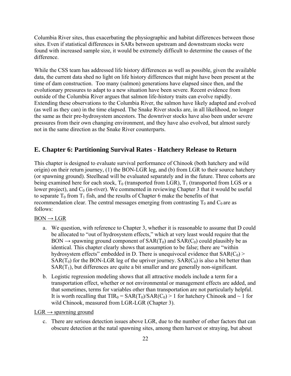<span id="page-24-0"></span>Columbia River sites, thus exacerbating the physiographic and habitat differences between those sites. Even if statistical differences in SARs between upstream and downstream stocks were found with increased sample size, it would be extremely difficult to determine the causes of the difference.

While the CSS team has addressed life history differences as well as possible, given the available data, the current data shed no light on life history differences that might have been present at the time of dam construction. Too many (salmon) generations have elapsed since then, and the evolutionary pressures to adapt to a new situation have been severe. Recent evidence from outside of the Columbia River argues that salmon life-history traits can evolve rapidly. Extending these observations to the Columbia River, the salmon have likely adapted and evolved (as well as they can) in the time elapsed. The Snake River stocks are, in all likelihood, no longer the same as their pre-hydrosystem ancestors. The downriver stocks have also been under severe pressures from their own changing environment, and they have also evolved, but almost surely not in the same direction as the Snake River counterparts.

### **E. Chapter 6: Partitioning Survival Rates - Hatchery Release to Return**

This chapter is designed to evaluate survival performance of Chinook (both hatchery and wild origin) on their return journey, (1) the BON-LGR leg, and (b) from LGR to their source hatchery (or spawning ground). Steelhead will be evaluated separately and in the future. Three cohorts are being examined here for each stock,  $T_0$  (transported from LGR),  $T_1$  (transported from LGS or a lower project), and  $C_0$  (in-river). We commented in reviewing Chapter 3 that it would be useful to separate  $T_0$  from  $T_1$  fish, and the results of Chapter 6 make the benefits of that recommendation clear. The central messages emerging from contrasting  $T_0$  and  $C_0$  are as follows:

#### $BON \rightarrow LGR$

- a. We question, with reference to Chapter 3, whether it is reasonable to assume that D could be allocated to "out of hydrosystem effects," which at very least would require that the BON  $\rightarrow$  spawning ground component of SAR(T<sub>0</sub>) and SAR(C<sub>0</sub>) could plausibly be as identical. This chapter clearly shows that assumption to be false; there are "within hydrosystem effects" embedded in D. There is unequivocal evidence that  $SAR(C_0)$  $SAR(T_0)$  for the BON-LGR leg of the upriver journey.  $SAR(C_0)$  is also a bit better than  $SAR(T_1)$ , but differences are quite a bit smaller and are generally non-significant.
- b. Logistic regression modeling shows that all attractive models include a term for a transportation effect, whether or not environmental or management effects are added, and that sometimes, terms for variables other than transportation are not particularly helpful. It is worth recalling that  $TIR_0 = SAR(T_0)/SAR(C_0) > 1$  for hatchery Chinook and  $\sim 1$  for wild Chinook, measured from LGR-LGR (Chapter 3).

#### $LGR \rightarrow$  spawning ground

c. There are serious detection issues above LGR, due to the number of other factors that can obscure detection at the natal spawning sites, among them harvest or straying, but about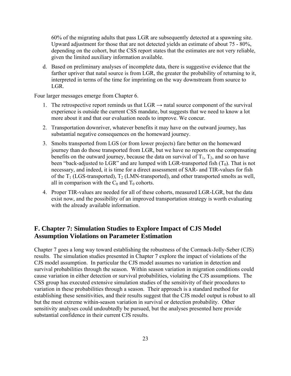<span id="page-25-0"></span>60% of the migrating adults that pass LGR are subsequently detected at a spawning site. Upward adjustment for those that are not detected yields an estimate of about 75 - 80%, depending on the cohort, but the CSS report states that the estimates are not very reliable, given the limited auxiliary information available.

d. Based on preliminary analyses of incomplete data, there is suggestive evidence that the farther upriver that natal source is from LGR, the greater the probability of returning to it, interpreted in terms of the time for imprinting on the way downstream from source to LGR.

Four larger messages emerge from Chapter 6.

- 1. The retrospective report reminds us that  $LGR \rightarrow$  natal source component of the survival experience is outside the current CSS mandate, but suggests that we need to know a lot more about it and that our evaluation needs to improve. We concur.
- 2. Transportation downriver, whatever benefits it may have on the outward journey, has substantial negative consequences on the homeward journey.
- 3. Smolts transported from LGS (or from lower projects) fare better on the homeward journey than do those transported from LGR, but we have no reports on the compensating benefits on the outward journey, because the data on survival of  $T_1$ ,  $T_2$ , and so on have been "back-adjusted to LGR" and are lumped with LGR-transported fish  $(T_0)$ . That is not necessary, and indeed, it is time for a direct assessment of SAR- and TIR-values for fish of the  $T_1$  (LGS-transported),  $T_2$  (LMN-transported), and other transported smolts as well, all in comparison with the  $C_0$  and  $T_0$  cohorts.
- 4. Proper TIR-values are needed for all of these cohorts, measured LGR-LGR, but the data exist now, and the possibility of an improved transportation strategy is worth evaluating with the already available information.

### **F. Chapter 7: Simulation Studies to Explore Impact of CJS Model Assumption Violations on Parameter Estimation**

Chapter 7 goes a long way toward establishing the robustness of the Cormack-Jolly-Seber (CJS) results. The simulation studies presented in Chapter 7 explore the impact of violations of the CJS model assumption. In particular the CJS model assumes no variation in detection and survival probabilities through the season. Within season variation in migration conditions could cause variation in either detection or survival probabilities, violating the CJS assumptions. The CSS group has executed extensive simulation studies of the sensitivity of their procedures to variation in these probabilities through a season. Their approach is a standard method for establishing these sensitivities, and their results suggest that the CJS model output is robust to all but the most extreme within-season variation in survival or detection probability. Other sensitivity analyses could undoubtedly be pursued, but the analyses presented here provide substantial confidence in their current CJS results.